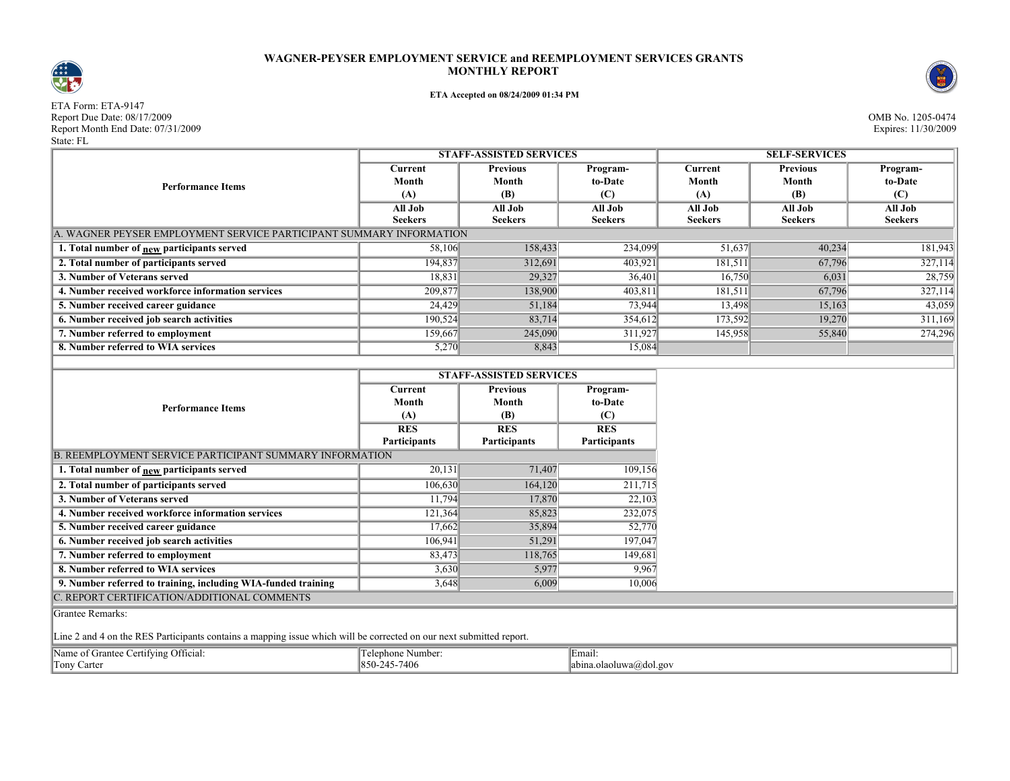## **WAGNER-PEYSER EMPLOYMENT SERVICE and REEMPLOYMENT SERVICES GRANTS MONTHLY REPORT**



## **ETA Accepted on 08/24/2009 01:34 PM**

ETA Form: ETA-9147 Report Due Date: 08/17/2009<br>Report Month End Date: 07/31/2009<br>Expires: 11/30/2009 Report Month End Date: 07/31/2009 Expires: 11/30/2009 State: FL



|                                                                    | <b>STAFF-ASSISTED SERVICES</b> |                 |                | <b>SELF-SERVICES</b> |                 |                |  |  |  |
|--------------------------------------------------------------------|--------------------------------|-----------------|----------------|----------------------|-----------------|----------------|--|--|--|
| <b>Performance Items</b>                                           | Current                        | <b>Previous</b> | Program-       | Current              | <b>Previous</b> | Program-       |  |  |  |
|                                                                    | Month                          | Month           | to-Date        | Month                | Month           | to-Date        |  |  |  |
|                                                                    | (A)                            | (B)             | (C)            | (A)                  | (B)             | (C)            |  |  |  |
|                                                                    | All Job                        | All Job         | All Job        | All Job              | All Job         | All Job        |  |  |  |
|                                                                    | <b>Seekers</b>                 | <b>Seekers</b>  | <b>Seekers</b> | <b>Seekers</b>       | <b>Seekers</b>  | <b>Seekers</b> |  |  |  |
| . WAGNER PEYSER EMPLOYMENT SERVICE PARTICIPANT SUMMARY INFORMATION |                                |                 |                |                      |                 |                |  |  |  |
| 1. Total number of new participants served                         | 58,106                         | 158,433         | 234,099        | 51,637               | 40,234          | 181,943        |  |  |  |
| 2. Total number of participants served                             | 194,837                        | 312,691         | 403,921        | 181,511              | 67,796          | 327,114        |  |  |  |
| 3. Number of Veterans served                                       | 18,831                         | 29,327          | 36,401         | 16,750               | 6,031           | 28,759         |  |  |  |
| 4. Number received workforce information services                  | 209,877                        | 138,900         | 403,811        | 181,511              | 67,796          | 327,114        |  |  |  |
| 5. Number received career guidance                                 | 24,429                         | 51,184          | 73,944         | 13,498               | 15,163          | 43,059         |  |  |  |
| 6. Number received job search activities                           | 190,524                        | 83,714          | 354,612        | 173,592              | 19,270          | 311,169        |  |  |  |
| 7. Number referred to employment                                   | 159,667                        | 245,090         | 311,927        | 145,958              | 55,840          | 274,296        |  |  |  |
| 8. Number referred to WIA services                                 | 5,270                          | 8,843           | 15,084         |                      |                 |                |  |  |  |

**STAFF-ASSISTED SERVICES**

|                                                                | STAFF-ASSISTED SERVICES |                 |                     |  |  |
|----------------------------------------------------------------|-------------------------|-----------------|---------------------|--|--|
|                                                                | Current                 | <b>Previous</b> | Program-            |  |  |
| <b>Performance Items</b>                                       | Month                   | Month           | to-Date             |  |  |
|                                                                | (A)                     | (B)             | (C)                 |  |  |
|                                                                | <b>RES</b>              | <b>RES</b>      | <b>RES</b>          |  |  |
|                                                                | Participants            | Participants    | <b>Participants</b> |  |  |
| <b>B. REEMPLOYMENT SERVICE PARTICIPANT SUMMARY INFORMATION</b> |                         |                 |                     |  |  |
| 1. Total number of new participants served                     | 20,131                  | 71,407          | 109,156             |  |  |
| 2. Total number of participants served                         | 106,630                 | 164,120         | 211,715             |  |  |
| 3. Number of Veterans served                                   | 11,794                  | 17,870          | 22,103              |  |  |
| 4. Number received workforce information services              | 121,364                 | 85,823          | 232,075             |  |  |
| 5. Number received career guidance                             | 17,662                  | 35,894          | 52,770              |  |  |
| 6. Number received job search activities                       | 106,941                 | 51,291          | 197,047             |  |  |
| 7. Number referred to employment                               | 83,473                  | 118,765         | 149,681             |  |  |
| 8. Number referred to WIA services                             | 3,630                   | 5,977           | 9,967               |  |  |
| 9. Number referred to training, including WIA-funded training  | 3,648                   | 6,009           | 10,006              |  |  |
| C. REPORT CERTIFICATION/ADDITIONAL COMMENTS                    |                         |                 |                     |  |  |
| Grantee Remarks:                                               |                         |                 |                     |  |  |

Line 2 and 4 on the RES Participants contains a mapping issue which will be corrected on our next submitted report.

| Name of Grantee Certifying Official: | Telephone Number: | Email:                 |
|--------------------------------------|-------------------|------------------------|
| Tony Carter                          | 850-245-7406      | abina.olaoluwa@dol.gov |